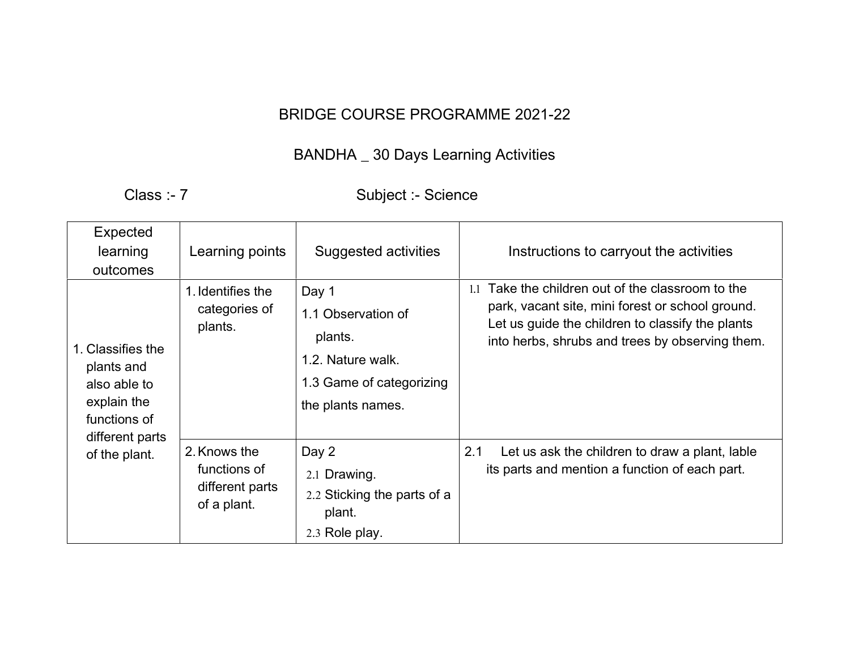## BRIDGE COURSE PROGRAMME 2021-22

## BANDHA \_ 30 Days Learning Activities

Class :- 7 Subject :- Science

| Expected<br>learning<br>outcomes                                                                                   | Learning points                                                | Suggested activities                                                                                         | Instructions to carryout the activities                                                                                                                                                                         |
|--------------------------------------------------------------------------------------------------------------------|----------------------------------------------------------------|--------------------------------------------------------------------------------------------------------------|-----------------------------------------------------------------------------------------------------------------------------------------------------------------------------------------------------------------|
| 1. Classifies the<br>plants and<br>also able to<br>explain the<br>functions of<br>different parts<br>of the plant. | 1. Identifies the<br>categories of<br>plants.                  | Day 1<br>1.1 Observation of<br>plants.<br>1.2. Nature walk.<br>1.3 Game of categorizing<br>the plants names. | Take the children out of the classroom to the<br>1.1<br>park, vacant site, mini forest or school ground.<br>Let us guide the children to classify the plants<br>into herbs, shrubs and trees by observing them. |
|                                                                                                                    | 2. Knows the<br>functions of<br>different parts<br>of a plant. | Day 2<br>2.1 Drawing.<br>2.2 Sticking the parts of a<br>plant.<br>2.3 Role play.                             | Let us ask the children to draw a plant, lable<br>2.1<br>its parts and mention a function of each part.                                                                                                         |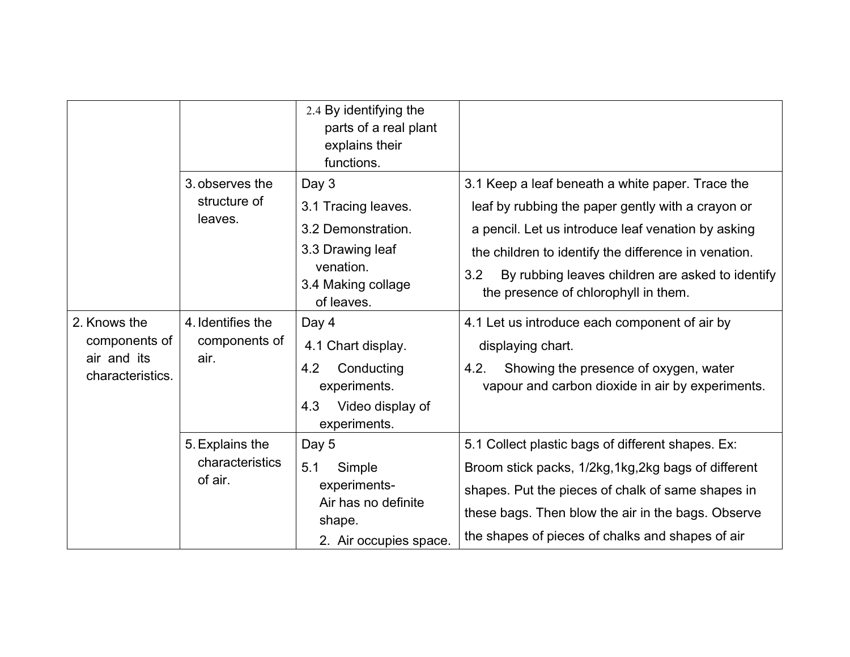| 2. Knows the<br>components of<br>air and its<br>characteristics. |                                               | 2.4 By identifying the<br>parts of a real plant<br>explains their<br>functions.                                         |                                                                                                                                                                                                                                                                                                                        |
|------------------------------------------------------------------|-----------------------------------------------|-------------------------------------------------------------------------------------------------------------------------|------------------------------------------------------------------------------------------------------------------------------------------------------------------------------------------------------------------------------------------------------------------------------------------------------------------------|
|                                                                  | 3. observes the<br>structure of<br>leaves.    | Day 3<br>3.1 Tracing leaves.<br>3.2 Demonstration.<br>3.3 Drawing leaf<br>venation.<br>3.4 Making collage<br>of leaves. | 3.1 Keep a leaf beneath a white paper. Trace the<br>leaf by rubbing the paper gently with a crayon or<br>a pencil. Let us introduce leaf venation by asking<br>the children to identify the difference in venation.<br>3.2<br>By rubbing leaves children are asked to identify<br>the presence of chlorophyll in them. |
|                                                                  | 4. Identifies the<br>components of<br>air.    | Day 4<br>4.1 Chart display.<br>4.2<br>Conducting<br>experiments.<br>Video display of<br>4.3<br>experiments.             | 4.1 Let us introduce each component of air by<br>displaying chart.<br>4.2.<br>Showing the presence of oxygen, water<br>vapour and carbon dioxide in air by experiments.                                                                                                                                                |
|                                                                  | 5. Explains the<br>characteristics<br>of air. | Day 5<br>5.1<br>Simple<br>experiments-<br>Air has no definite<br>shape.<br>2. Air occupies space.                       | 5.1 Collect plastic bags of different shapes. Ex:<br>Broom stick packs, 1/2kg, 1kg, 2kg bags of different<br>shapes. Put the pieces of chalk of same shapes in<br>these bags. Then blow the air in the bags. Observe<br>the shapes of pieces of chalks and shapes of air                                               |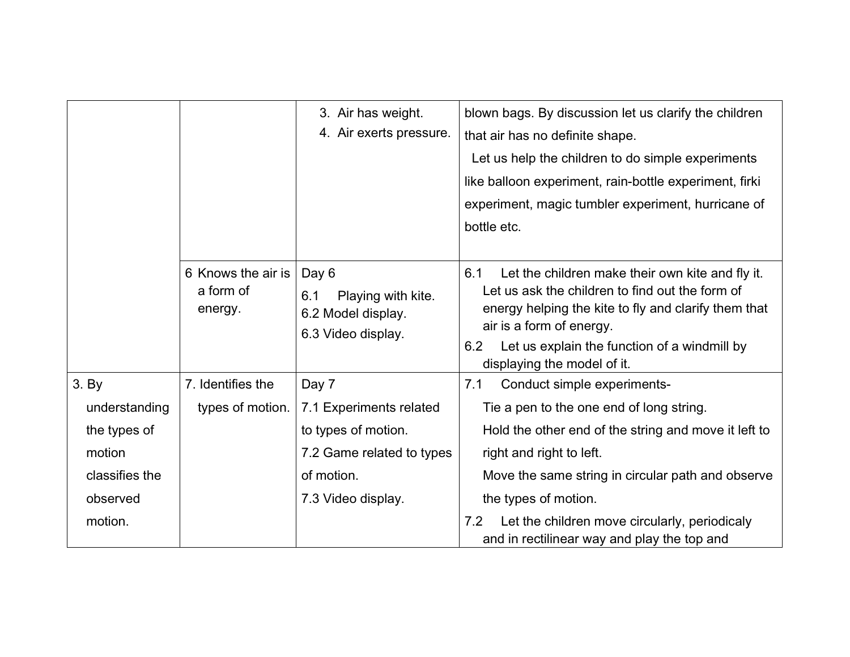|                |                                            | 3. Air has weight.<br>4. Air exerts pressure.                                  | blown bags. By discussion let us clarify the children<br>that air has no definite shape.<br>Let us help the children to do simple experiments<br>like balloon experiment, rain-bottle experiment, firki<br>experiment, magic tumbler experiment, hurricane of<br>bottle etc.         |
|----------------|--------------------------------------------|--------------------------------------------------------------------------------|--------------------------------------------------------------------------------------------------------------------------------------------------------------------------------------------------------------------------------------------------------------------------------------|
|                | 6 Knows the air is<br>a form of<br>energy. | Day 6<br>Playing with kite.<br>6.1<br>6.2 Model display.<br>6.3 Video display. | 6.1<br>Let the children make their own kite and fly it.<br>Let us ask the children to find out the form of<br>energy helping the kite to fly and clarify them that<br>air is a form of energy.<br>6.2<br>Let us explain the function of a windmill by<br>displaying the model of it. |
| 3. By          | 7. Identifies the                          | Day 7                                                                          | Conduct simple experiments-<br>7.1                                                                                                                                                                                                                                                   |
| understanding  | types of motion.                           | 7.1 Experiments related                                                        | Tie a pen to the one end of long string.                                                                                                                                                                                                                                             |
| the types of   |                                            | to types of motion.                                                            | Hold the other end of the string and move it left to                                                                                                                                                                                                                                 |
| motion         |                                            | 7.2 Game related to types                                                      | right and right to left.                                                                                                                                                                                                                                                             |
| classifies the |                                            | of motion.                                                                     | Move the same string in circular path and observe                                                                                                                                                                                                                                    |
| observed       |                                            | 7.3 Video display.                                                             | the types of motion.                                                                                                                                                                                                                                                                 |
| motion.        |                                            |                                                                                | Let the children move circularly, periodicaly<br>7.2<br>and in rectilinear way and play the top and                                                                                                                                                                                  |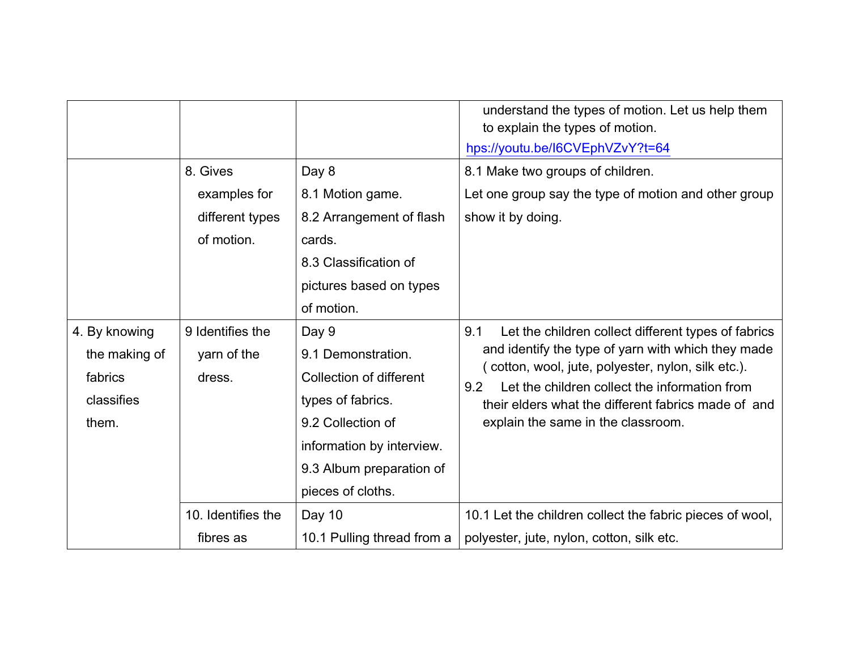|                                                                  |                                                                                                                                                                                                |                                                                                                                                                                                | understand the types of motion. Let us help them<br>to explain the types of motion.<br>hps://youtu.be/I6CVEphVZvY?t=64                                                                                                                                                                                                      |
|------------------------------------------------------------------|------------------------------------------------------------------------------------------------------------------------------------------------------------------------------------------------|--------------------------------------------------------------------------------------------------------------------------------------------------------------------------------|-----------------------------------------------------------------------------------------------------------------------------------------------------------------------------------------------------------------------------------------------------------------------------------------------------------------------------|
|                                                                  | 8. Gives<br>Day 8<br>8.1 Motion game.<br>examples for<br>8.2 Arrangement of flash<br>different types<br>of motion.<br>cards.<br>8.3 Classification of<br>pictures based on types<br>of motion. |                                                                                                                                                                                | 8.1 Make two groups of children.<br>Let one group say the type of motion and other group<br>show it by doing.                                                                                                                                                                                                               |
| 4. By knowing<br>the making of<br>fabrics<br>classifies<br>them. | 9 Identifies the<br>yarn of the<br>dress.                                                                                                                                                      | Day 9<br>9.1 Demonstration.<br>Collection of different<br>types of fabrics.<br>9.2 Collection of<br>information by interview.<br>9.3 Album preparation of<br>pieces of cloths. | Let the children collect different types of fabrics<br>9.1<br>and identify the type of yarn with which they made<br>(cotton, wool, jute, polyester, nylon, silk etc.).<br>Let the children collect the information from<br>9.2<br>their elders what the different fabrics made of and<br>explain the same in the classroom. |
|                                                                  | 10. Identifies the<br>fibres as                                                                                                                                                                | Day 10<br>10.1 Pulling thread from a                                                                                                                                           | 10.1 Let the children collect the fabric pieces of wool,<br>polyester, jute, nylon, cotton, silk etc.                                                                                                                                                                                                                       |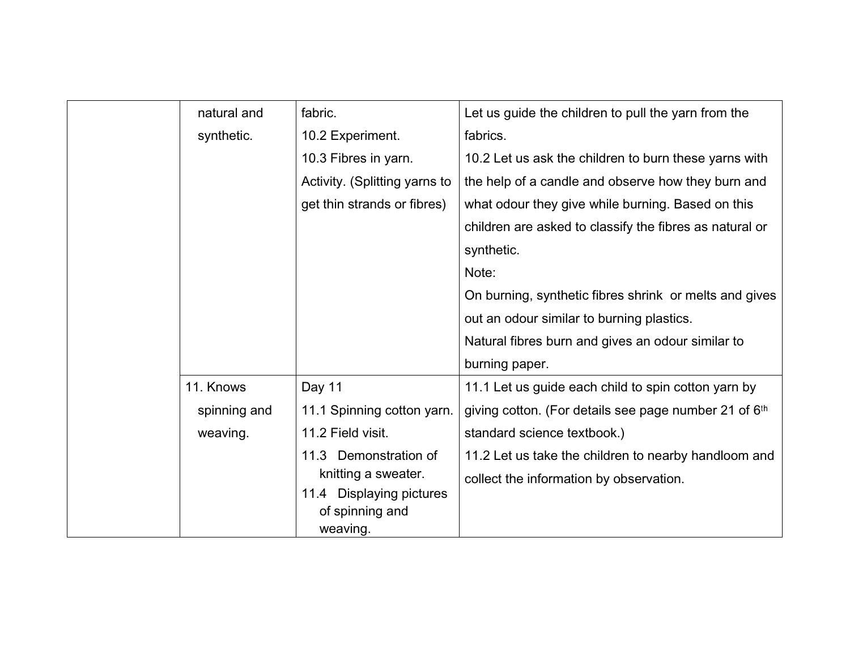| natural and  | fabric.                       | Let us guide the children to pull the yarn from the               |
|--------------|-------------------------------|-------------------------------------------------------------------|
| synthetic.   | 10.2 Experiment.              | fabrics.                                                          |
|              | 10.3 Fibres in yarn.          | 10.2 Let us ask the children to burn these yarns with             |
|              | Activity. (Splitting yarns to | the help of a candle and observe how they burn and                |
|              | get thin strands or fibres)   | what odour they give while burning. Based on this                 |
|              |                               | children are asked to classify the fibres as natural or           |
|              |                               | synthetic.                                                        |
|              |                               | Note:                                                             |
|              |                               | On burning, synthetic fibres shrink or melts and gives            |
|              |                               | out an odour similar to burning plastics.                         |
|              |                               | Natural fibres burn and gives an odour similar to                 |
|              |                               | burning paper.                                                    |
| 11. Knows    | Day 11                        | 11.1 Let us guide each child to spin cotton yarn by               |
| spinning and | 11.1 Spinning cotton yarn.    | giving cotton. (For details see page number 21 of 6 <sup>th</sup> |
| weaving.     | 11.2 Field visit.             | standard science textbook.)                                       |
|              | Demonstration of<br>11.3      | 11.2 Let us take the children to nearby handloom and              |
|              | knitting a sweater.           | collect the information by observation.                           |
|              | 11.4 Displaying pictures      |                                                                   |
|              | of spinning and<br>weaving.   |                                                                   |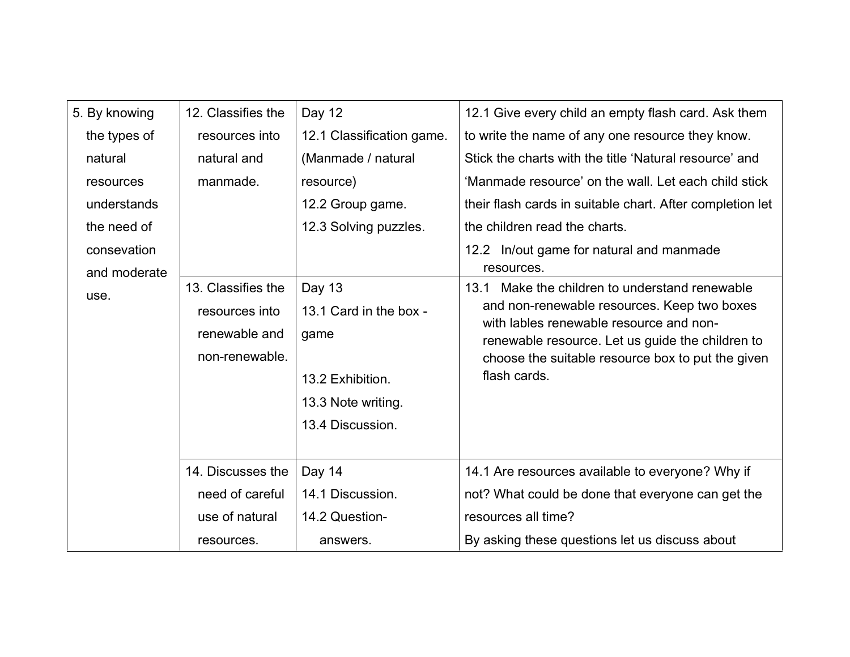| 5. By knowing | 12. Classifies the          | Day 12                    | 12.1 Give every child an empty flash card. Ask them                                         |
|---------------|-----------------------------|---------------------------|---------------------------------------------------------------------------------------------|
| the types of  | resources into              | 12.1 Classification game. | to write the name of any one resource they know.                                            |
| natural       | natural and                 | (Manmade / natural        | Stick the charts with the title 'Natural resource' and                                      |
| resources     | manmade.                    | resource)                 | 'Manmade resource' on the wall. Let each child stick                                        |
| understands   |                             | 12.2 Group game.          | their flash cards in suitable chart. After completion let                                   |
| the need of   |                             | 12.3 Solving puzzles.     | the children read the charts.                                                               |
| consevation   |                             |                           | 12.2 In/out game for natural and manmade                                                    |
| and moderate  |                             |                           | resources.                                                                                  |
| use.          | 13. Classifies the          | Day 13                    | Make the children to understand renewable<br>13.1                                           |
|               | resources into              | 13.1 Card in the box -    | and non-renewable resources. Keep two boxes                                                 |
|               | renewable and               | game                      | with lables renewable resource and non-<br>renewable resource. Let us guide the children to |
|               | non-renewable.              |                           | choose the suitable resource box to put the given                                           |
|               |                             | 13.2 Exhibition.          | flash cards.                                                                                |
|               |                             | 13.3 Note writing.        |                                                                                             |
|               |                             | 13.4 Discussion.          |                                                                                             |
|               | 14. Discusses the<br>Day 14 |                           |                                                                                             |
|               |                             |                           | 14.1 Are resources available to everyone? Why if                                            |
|               | need of careful             | 14.1 Discussion.          | not? What could be done that everyone can get the                                           |
|               | use of natural              | 14.2 Question-            | resources all time?                                                                         |
|               | resources.                  | answers.                  | By asking these questions let us discuss about                                              |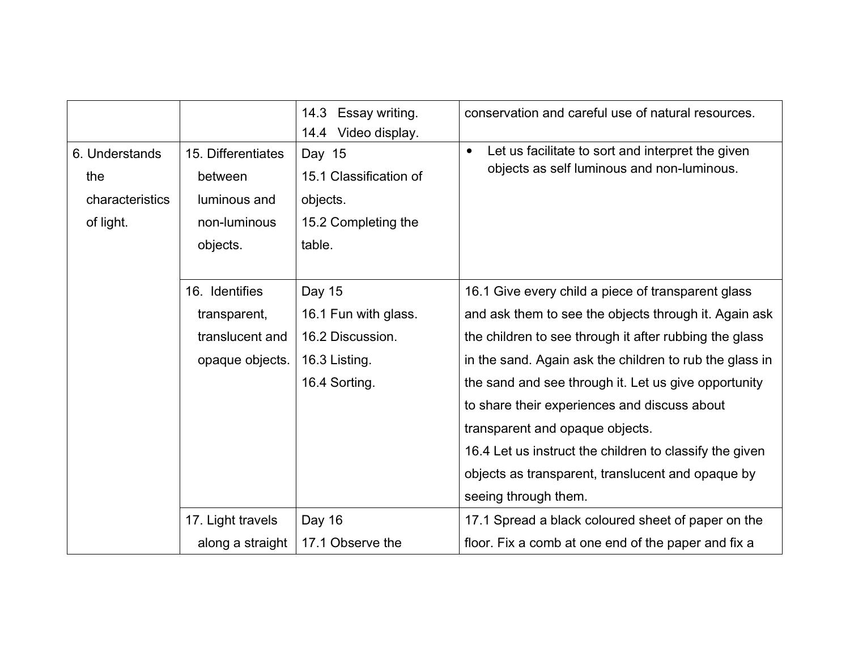|                                                       |                                                                                                                                                              | 14.3<br>Essay writing.<br>14.4 Video display.                                 | conservation and careful use of natural resources.                                                                                                                                                                                                                                                                                                                                                                                                                                                                  |
|-------------------------------------------------------|--------------------------------------------------------------------------------------------------------------------------------------------------------------|-------------------------------------------------------------------------------|---------------------------------------------------------------------------------------------------------------------------------------------------------------------------------------------------------------------------------------------------------------------------------------------------------------------------------------------------------------------------------------------------------------------------------------------------------------------------------------------------------------------|
| 6. Understands<br>the<br>characteristics<br>of light. | 15. Differentiates<br>between<br>luminous and<br>non-luminous<br>objects.                                                                                    | Day 15<br>15.1 Classification of<br>objects.<br>15.2 Completing the<br>table. | Let us facilitate to sort and interpret the given<br>$\bullet$<br>objects as self luminous and non-luminous.                                                                                                                                                                                                                                                                                                                                                                                                        |
|                                                       | 16. Identifies<br>Day 15<br>16.1 Fun with glass.<br>transparent,<br>16.2 Discussion.<br>translucent and<br>opaque objects.<br>16.3 Listing.<br>16.4 Sorting. |                                                                               | 16.1 Give every child a piece of transparent glass<br>and ask them to see the objects through it. Again ask<br>the children to see through it after rubbing the glass<br>in the sand. Again ask the children to rub the glass in<br>the sand and see through it. Let us give opportunity<br>to share their experiences and discuss about<br>transparent and opaque objects.<br>16.4 Let us instruct the children to classify the given<br>objects as transparent, translucent and opaque by<br>seeing through them. |
|                                                       | 17. Light travels<br>along a straight                                                                                                                        | Day 16<br>17.1 Observe the                                                    | 17.1 Spread a black coloured sheet of paper on the<br>floor. Fix a comb at one end of the paper and fix a                                                                                                                                                                                                                                                                                                                                                                                                           |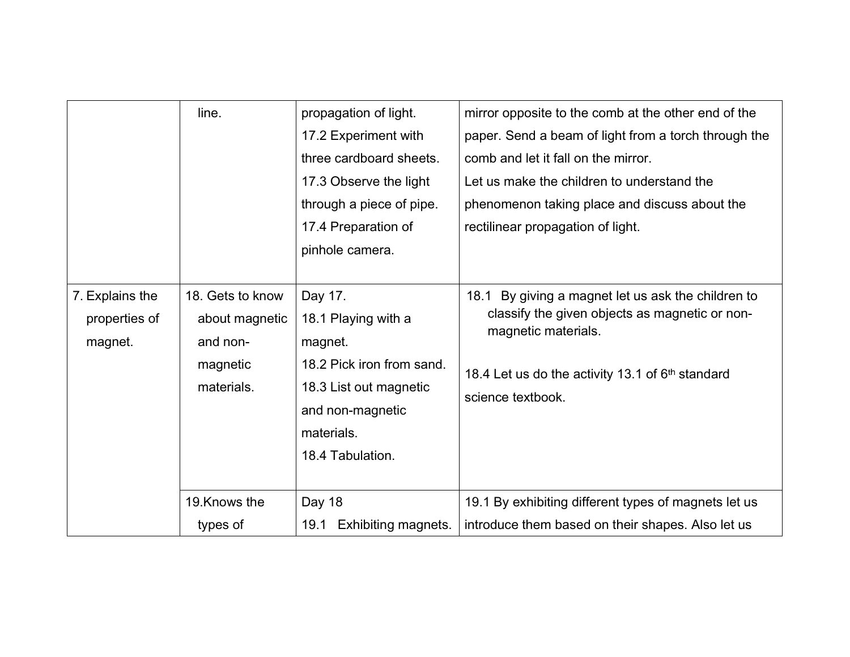|                                             | line.                                                                    | propagation of light.<br>17.2 Experiment with<br>three cardboard sheets.<br>17.3 Observe the light<br>through a piece of pipe.<br>17.4 Preparation of<br>pinhole camera. | mirror opposite to the comb at the other end of the<br>paper. Send a beam of light from a torch through the<br>comb and let it fall on the mirror.<br>Let us make the children to understand the<br>phenomenon taking place and discuss about the<br>rectilinear propagation of light. |
|---------------------------------------------|--------------------------------------------------------------------------|--------------------------------------------------------------------------------------------------------------------------------------------------------------------------|----------------------------------------------------------------------------------------------------------------------------------------------------------------------------------------------------------------------------------------------------------------------------------------|
| 7. Explains the<br>properties of<br>magnet. | 18. Gets to know<br>about magnetic<br>and non-<br>magnetic<br>materials. | Day 17.<br>18.1 Playing with a<br>magnet.<br>18.2 Pick iron from sand.<br>18.3 List out magnetic<br>and non-magnetic<br>materials.<br>18.4 Tabulation.                   | 18.1 By giving a magnet let us ask the children to<br>classify the given objects as magnetic or non-<br>magnetic materials.<br>18.4 Let us do the activity 13.1 of 6 <sup>th</sup> standard<br>science textbook.                                                                       |
|                                             | 19. Knows the<br>types of                                                | Day 18<br>19.1<br>Exhibiting magnets.                                                                                                                                    | 19.1 By exhibiting different types of magnets let us<br>introduce them based on their shapes. Also let us                                                                                                                                                                              |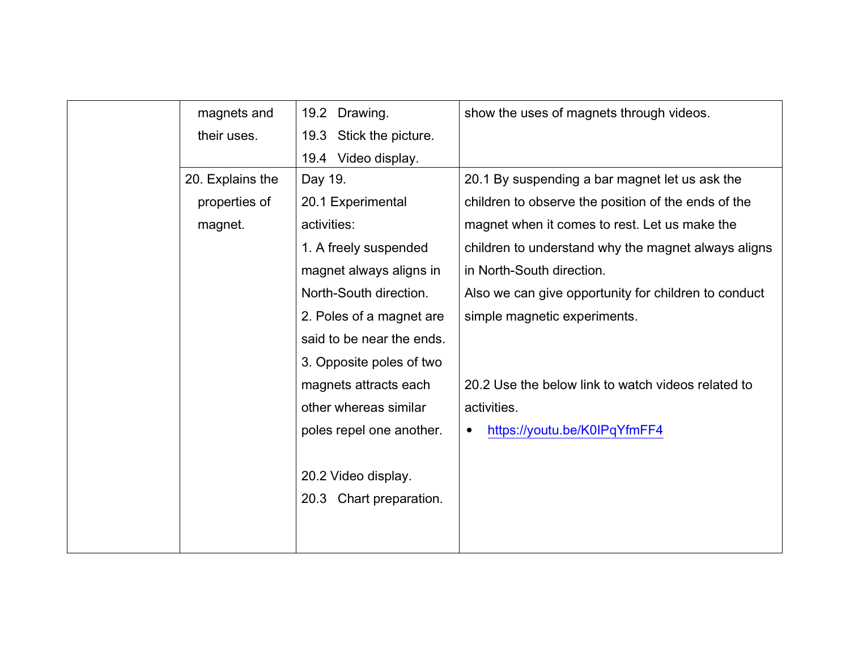|      | magnets and              | 19.2<br>Drawing.           | show the uses of magnets through videos.             |
|------|--------------------------|----------------------------|------------------------------------------------------|
|      | their uses.              | 19.3<br>Stick the picture. |                                                      |
|      | Video display.<br>19.4   |                            |                                                      |
|      | 20. Explains the         | Day 19.                    | 20.1 By suspending a bar magnet let us ask the       |
|      | properties of            | 20.1 Experimental          | children to observe the position of the ends of the  |
|      | magnet.                  | activities:                | magnet when it comes to rest. Let us make the        |
|      |                          | 1. A freely suspended      | children to understand why the magnet always aligns  |
|      |                          | magnet always aligns in    | in North-South direction.                            |
|      |                          | North-South direction.     | Also we can give opportunity for children to conduct |
|      |                          | 2. Poles of a magnet are   | simple magnetic experiments.                         |
|      |                          | said to be near the ends.  |                                                      |
|      |                          | 3. Opposite poles of two   |                                                      |
|      |                          | magnets attracts each      | 20.2 Use the below link to watch videos related to   |
|      | other whereas similar    |                            | activities.                                          |
|      | poles repel one another. |                            | https://youtu.be/K0IPqYfmFF4                         |
|      |                          |                            |                                                      |
|      | 20.2 Video display.      |                            |                                                      |
| 20.3 |                          | Chart preparation.         |                                                      |
|      |                          |                            |                                                      |
|      |                          |                            |                                                      |
|      |                          |                            |                                                      |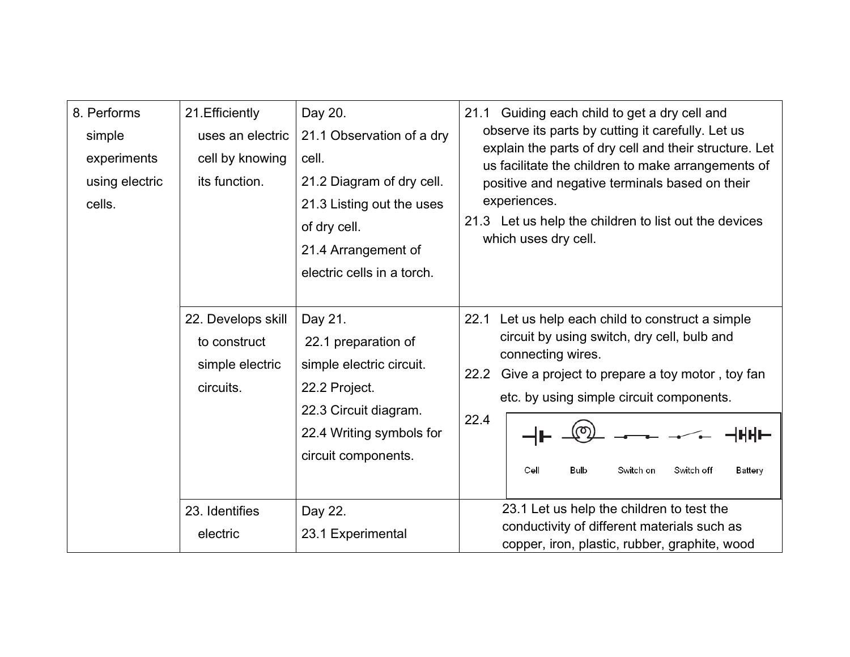| 8. Performs<br>simple<br>experiments<br>using electric<br>cells. | 21. Efficiently<br>uses an electric<br>cell by knowing<br>its function. | Day 20.<br>21.1 Observation of a dry<br>cell.<br>21.2 Diagram of dry cell.<br>21.3 Listing out the uses<br>of dry cell.<br>21.4 Arrangement of<br>electric cells in a torch. | 21.1 Guiding each child to get a dry cell and<br>observe its parts by cutting it carefully. Let us<br>explain the parts of dry cell and their structure. Let<br>us facilitate the children to make arrangements of<br>positive and negative terminals based on their<br>experiences.<br>21.3 Let us help the children to list out the devices<br>which uses dry cell. |
|------------------------------------------------------------------|-------------------------------------------------------------------------|------------------------------------------------------------------------------------------------------------------------------------------------------------------------------|-----------------------------------------------------------------------------------------------------------------------------------------------------------------------------------------------------------------------------------------------------------------------------------------------------------------------------------------------------------------------|
|                                                                  | 22. Develops skill<br>to construct<br>simple electric<br>circuits.      | Day 21.<br>22.1 preparation of<br>simple electric circuit.<br>22.2 Project.<br>22.3 Circuit diagram.<br>22.4 Writing symbols for<br>circuit components.                      | 22.1 Let us help each child to construct a simple<br>circuit by using switch, dry cell, bulb and<br>connecting wires.<br>Give a project to prepare a toy motor, toy fan<br>22.2<br>etc. by using simple circuit components.<br>22.4<br>Cell<br>Bulb<br>Switch on<br>Switch off<br>Battery                                                                             |
|                                                                  | 23. Identifies<br>electric                                              | Day 22.<br>23.1 Experimental                                                                                                                                                 | 23.1 Let us help the children to test the<br>conductivity of different materials such as<br>copper, iron, plastic, rubber, graphite, wood                                                                                                                                                                                                                             |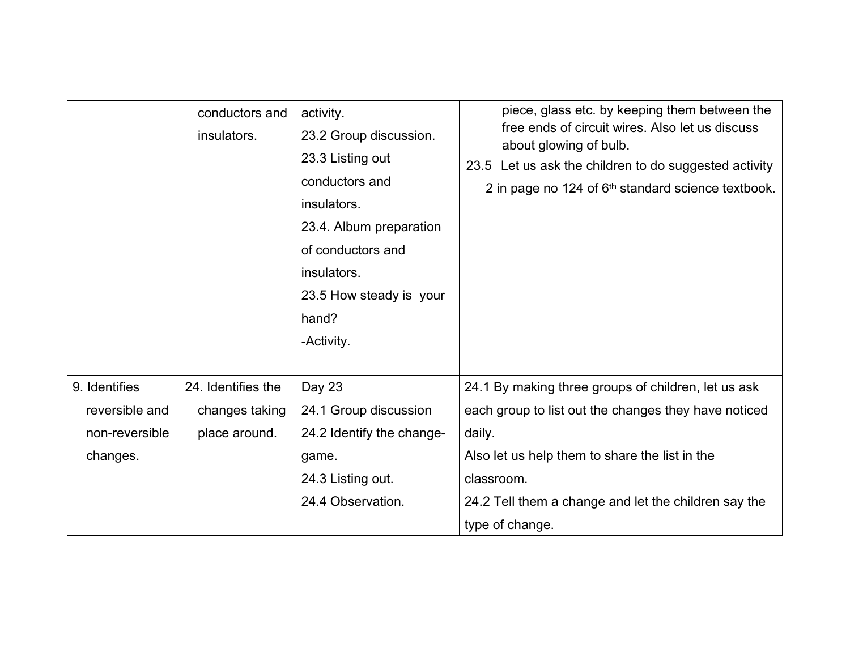|                | conductors and<br>insulators. | activity.<br>23.2 Group discussion.<br>23.3 Listing out<br>conductors and<br>insulators.<br>23.4. Album preparation<br>of conductors and<br>insulators.<br>23.5 How steady is your<br>hand?<br>-Activity. | piece, glass etc. by keeping them between the<br>free ends of circuit wires. Also let us discuss<br>about glowing of bulb.<br>23.5 Let us ask the children to do suggested activity<br>2 in page no 124 of 6 <sup>th</sup> standard science textbook. |
|----------------|-------------------------------|-----------------------------------------------------------------------------------------------------------------------------------------------------------------------------------------------------------|-------------------------------------------------------------------------------------------------------------------------------------------------------------------------------------------------------------------------------------------------------|
| 9. Identifies  | 24. Identifies the            | Day 23                                                                                                                                                                                                    | 24.1 By making three groups of children, let us ask                                                                                                                                                                                                   |
| reversible and | changes taking                | 24.1 Group discussion                                                                                                                                                                                     | each group to list out the changes they have noticed                                                                                                                                                                                                  |
| non-reversible | place around.                 | 24.2 Identify the change-                                                                                                                                                                                 | daily.                                                                                                                                                                                                                                                |
| changes.       |                               | game.                                                                                                                                                                                                     | Also let us help them to share the list in the                                                                                                                                                                                                        |
|                |                               | 24.3 Listing out.                                                                                                                                                                                         | classroom.                                                                                                                                                                                                                                            |
|                |                               | 24.4 Observation.                                                                                                                                                                                         | 24.2 Tell them a change and let the children say the                                                                                                                                                                                                  |
|                |                               |                                                                                                                                                                                                           | type of change.                                                                                                                                                                                                                                       |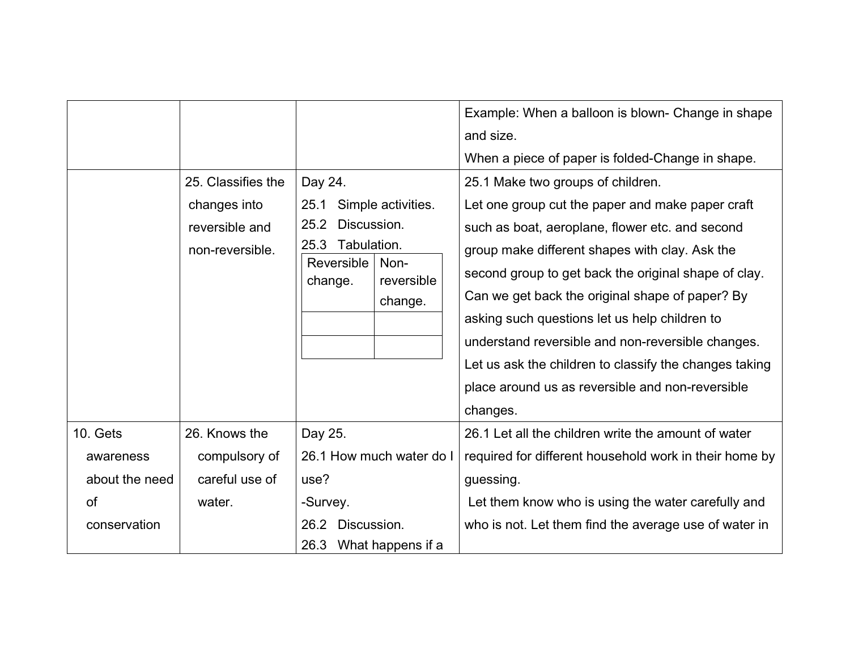|                                                                      |                                                                         |                                                                                        |                                                     | Example: When a balloon is blown- Change in shape<br>and size.<br>When a piece of paper is folded-Change in shape.                                                                                                                                                                                                                                                                                                                                                                                                                    |
|----------------------------------------------------------------------|-------------------------------------------------------------------------|----------------------------------------------------------------------------------------|-----------------------------------------------------|---------------------------------------------------------------------------------------------------------------------------------------------------------------------------------------------------------------------------------------------------------------------------------------------------------------------------------------------------------------------------------------------------------------------------------------------------------------------------------------------------------------------------------------|
|                                                                      | 25. Classifies the<br>changes into<br>reversible and<br>non-reversible. | Day 24.<br>25.1<br>25.2<br>Discussion.<br>25.3<br>Tabulation.<br>Reversible<br>change. | Simple activities.<br>Non-<br>reversible<br>change. | 25.1 Make two groups of children.<br>Let one group cut the paper and make paper craft<br>such as boat, aeroplane, flower etc. and second<br>group make different shapes with clay. Ask the<br>second group to get back the original shape of clay.<br>Can we get back the original shape of paper? By<br>asking such questions let us help children to<br>understand reversible and non-reversible changes.<br>Let us ask the children to classify the changes taking<br>place around us as reversible and non-reversible<br>changes. |
| 10. Gets<br>awareness<br>about the need<br><b>of</b><br>conservation | 26. Knows the<br>compulsory of<br>careful use of<br>water.              | Day 25.<br>use?<br>-Survey.<br>26.2<br>Discussion.<br>26.3                             | 26.1 How much water do I<br>What happens if a       | 26.1 Let all the children write the amount of water<br>required for different household work in their home by<br>guessing.<br>Let them know who is using the water carefully and<br>who is not. Let them find the average use of water in                                                                                                                                                                                                                                                                                             |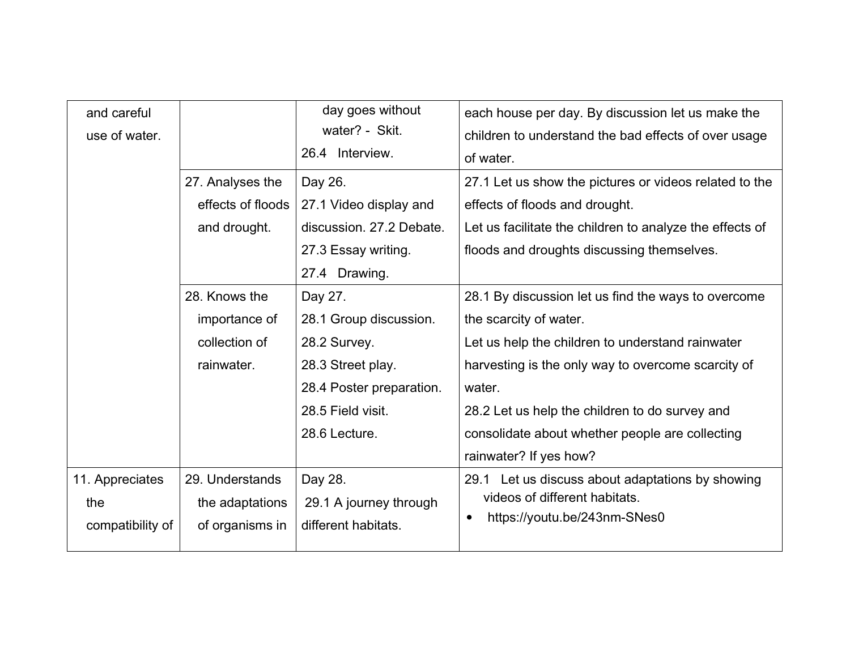| and careful<br>use of water.               |                                                               | day goes without<br>water? - Skit.<br>26.4 Interview.                                                                                    | each house per day. By discussion let us make the<br>children to understand the bad effects of over usage<br>of water.                                                                                                                                                                                                           |
|--------------------------------------------|---------------------------------------------------------------|------------------------------------------------------------------------------------------------------------------------------------------|----------------------------------------------------------------------------------------------------------------------------------------------------------------------------------------------------------------------------------------------------------------------------------------------------------------------------------|
|                                            | 27. Analyses the<br>effects of floods<br>and drought.         | Day 26.<br>27.1 Video display and<br>discussion. 27.2 Debate.<br>27.3 Essay writing.<br>27.4 Drawing.                                    | 27.1 Let us show the pictures or videos related to the<br>effects of floods and drought.<br>Let us facilitate the children to analyze the effects of<br>floods and droughts discussing themselves.                                                                                                                               |
|                                            | 28. Knows the<br>importance of<br>collection of<br>rainwater. | Day 27.<br>28.1 Group discussion.<br>28.2 Survey.<br>28.3 Street play.<br>28.4 Poster preparation.<br>28.5 Field visit.<br>28.6 Lecture. | 28.1 By discussion let us find the ways to overcome<br>the scarcity of water.<br>Let us help the children to understand rainwater<br>harvesting is the only way to overcome scarcity of<br>water.<br>28.2 Let us help the children to do survey and<br>consolidate about whether people are collecting<br>rainwater? If yes how? |
| 11. Appreciates<br>the<br>compatibility of | 29. Understands<br>the adaptations<br>of organisms in         | Day 28.<br>29.1 A journey through<br>different habitats.                                                                                 | 29.1 Let us discuss about adaptations by showing<br>videos of different habitats.<br>https://youtu.be/243nm-SNes0<br>$\bullet$                                                                                                                                                                                                   |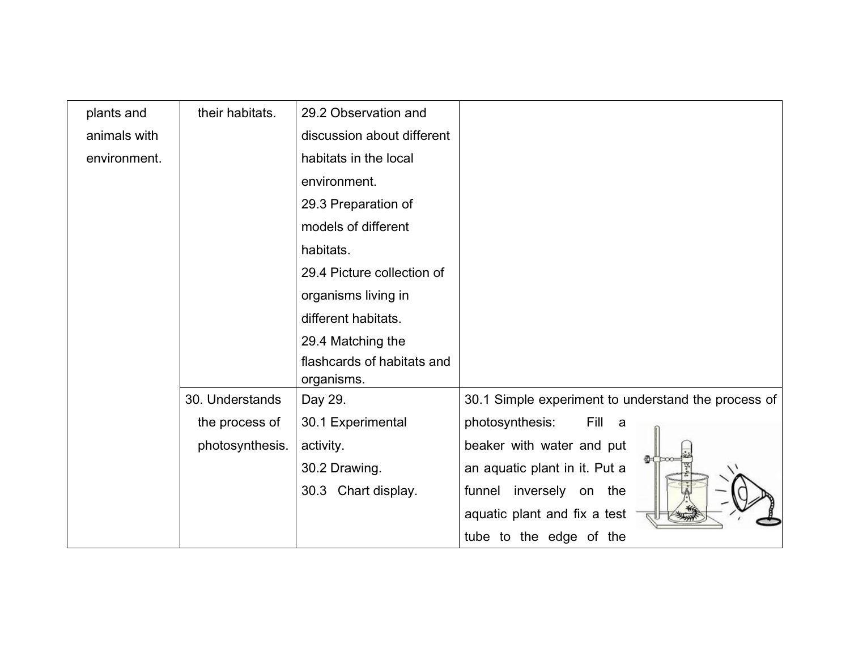| plants and   | their habitats. | 29.2 Observation and                     |                                                     |
|--------------|-----------------|------------------------------------------|-----------------------------------------------------|
| animals with |                 | discussion about different               |                                                     |
| environment. |                 | habitats in the local                    |                                                     |
|              |                 | environment.                             |                                                     |
|              |                 | 29.3 Preparation of                      |                                                     |
|              |                 | models of different                      |                                                     |
|              |                 | habitats.                                |                                                     |
|              |                 | 29.4 Picture collection of               |                                                     |
|              |                 | organisms living in                      |                                                     |
|              |                 | different habitats.                      |                                                     |
|              |                 | 29.4 Matching the                        |                                                     |
|              |                 | flashcards of habitats and<br>organisms. |                                                     |
|              | 30. Understands | Day 29.                                  | 30.1 Simple experiment to understand the process of |
|              | the process of  | 30.1 Experimental                        | photosynthesis:<br>Fill<br>a a                      |
|              | photosynthesis. | activity.                                | beaker with water and put                           |
|              |                 | 30.2 Drawing.                            | #<br>an aquatic plant in it. Put a                  |
|              |                 | 30.3 Chart display.                      | funnel inversely on the                             |
|              |                 |                                          | aquatic plant and fix a test                        |
|              |                 |                                          | tube to the edge of the                             |